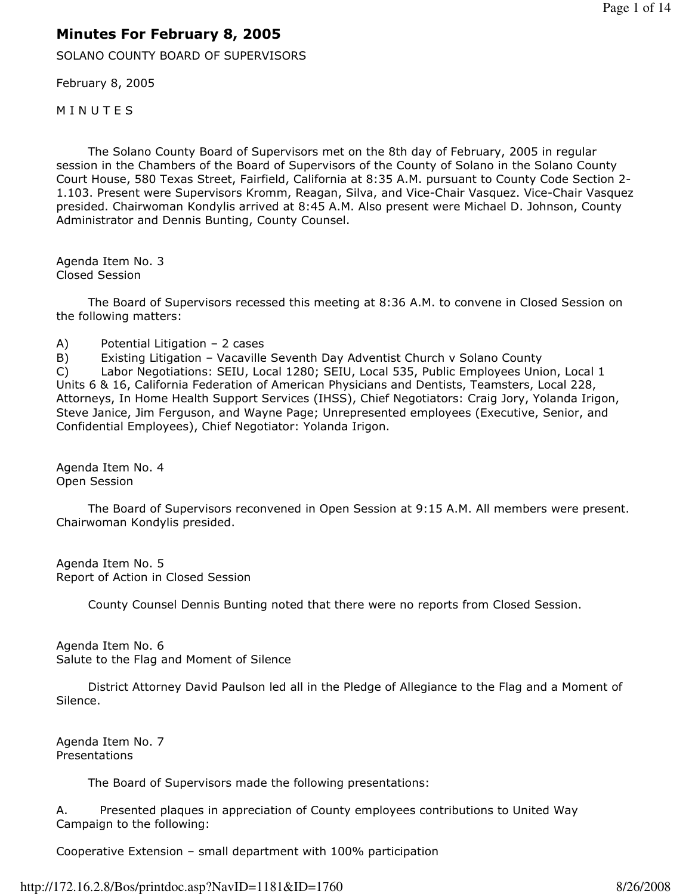## Minutes For February 8, 2005

SOLANO COUNTY BOARD OF SUPERVISORS

February 8, 2005

**MINUTES** 

 The Solano County Board of Supervisors met on the 8th day of February, 2005 in regular session in the Chambers of the Board of Supervisors of the County of Solano in the Solano County Court House, 580 Texas Street, Fairfield, California at 8:35 A.M. pursuant to County Code Section 2- 1.103. Present were Supervisors Kromm, Reagan, Silva, and Vice-Chair Vasquez. Vice-Chair Vasquez presided. Chairwoman Kondylis arrived at 8:45 A.M. Also present were Michael D. Johnson, County Administrator and Dennis Bunting, County Counsel.

Agenda Item No. 3 Closed Session

 The Board of Supervisors recessed this meeting at 8:36 A.M. to convene in Closed Session on the following matters:

A) Potential Litigation – 2 cases

B) Existing Litigation – Vacaville Seventh Day Adventist Church v Solano County C) Labor Negotiations: SEIU, Local 1280; SEIU, Local 535, Public Employees Union, Local 1 Units 6 & 16, California Federation of American Physicians and Dentists, Teamsters, Local 228, Attorneys, In Home Health Support Services (IHSS), Chief Negotiators: Craig Jory, Yolanda Irigon, Steve Janice, Jim Ferguson, and Wayne Page; Unrepresented employees (Executive, Senior, and Confidential Employees), Chief Negotiator: Yolanda Irigon.

Agenda Item No. 4 Open Session

 The Board of Supervisors reconvened in Open Session at 9:15 A.M. All members were present. Chairwoman Kondylis presided.

Agenda Item No. 5 Report of Action in Closed Session

County Counsel Dennis Bunting noted that there were no reports from Closed Session.

Agenda Item No. 6 Salute to the Flag and Moment of Silence

 District Attorney David Paulson led all in the Pledge of Allegiance to the Flag and a Moment of Silence.

Agenda Item No. 7 Presentations

The Board of Supervisors made the following presentations:

A. Presented plaques in appreciation of County employees contributions to United Way Campaign to the following:

Cooperative Extension – small department with 100% participation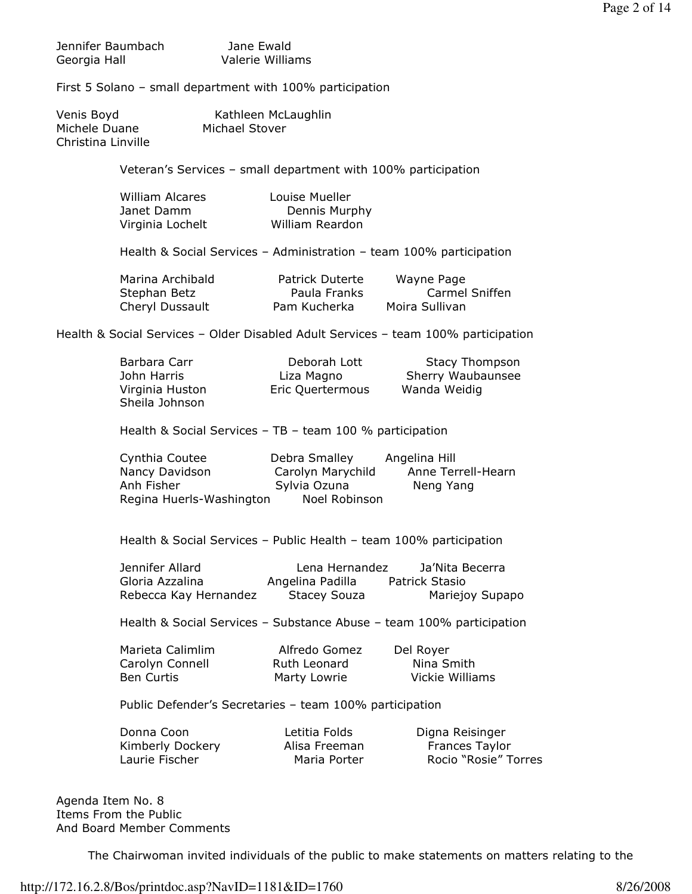| Jennifer Baumbach | Jane Ewald       |
|-------------------|------------------|
| Georgia Hall      | Valerie Williams |

First 5 Solano – small department with 100% participation

| Venis Boyd         | Kathleen McLaughlin |
|--------------------|---------------------|
| Michele Duane      | Michael Stover      |
| Christina Linville |                     |

Veteran's Services – small department with 100% participation

| William Alcares  | Louise Mueller  |
|------------------|-----------------|
| Janet Damm       | Dennis Murphy   |
| Virginia Lochelt | William Reardon |

Health & Social Services – Administration – team 100% participation

| Marina Archibald | Patrick Duterte | Wayne Page     |
|------------------|-----------------|----------------|
| Stephan Betz     | Paula Franks    | Carmel Sniffen |
| Cheryl Dussault  | Pam Kucherka    | Moira Sullivan |

Health & Social Services – Older Disabled Adult Services – team 100% participation

| Barbara Carr    | Deborah Lott     | <b>Stacy Thompson</b> |
|-----------------|------------------|-----------------------|
| John Harris     | Liza Magno       | Sherry Waubaunsee     |
| Virginia Huston | Eric Quertermous | Wanda Weidig          |
| Sheila Johnson  |                  |                       |

Health & Social Services – TB – team 100 % participation

 Cynthia Coutee Debra Smalley Angelina Hill Nancy Davidson Carolyn Marychild Anne Terrell-Hearn Anh Fisher **Sylvia Ozuna** Neng Yang Regina Huerls-Washington Noel Robinson

Health & Social Services – Public Health – team 100% participation

| Jennifer Allard       | Lena Hernandez   | Ja'Nita Becerra |
|-----------------------|------------------|-----------------|
| Gloria Azzalina       | Angelina Padilla | Patrick Stasio  |
| Rebecca Kay Hernandez | Stacey Souza     | Mariejoy Supapo |

Health & Social Services – Substance Abuse – team 100% participation

| Marieta Calimlim | Alfredo Gomez | Del Royer       |
|------------------|---------------|-----------------|
| Carolyn Connell  | Ruth Leonard  | Nina Smith      |
| Ben Curtis       | Marty Lowrie  | Vickie Williams |

Public Defender's Secretaries – team 100% participation

| Donna Coon       | Letitia Folds | Digna Reisinger       |
|------------------|---------------|-----------------------|
| Kimberly Dockery | Alisa Freeman | <b>Frances Taylor</b> |
| Laurie Fischer   | Maria Porter  | Rocio "Rosie" Torres  |

Agenda Item No. 8 Items From the Public And Board Member Comments

The Chairwoman invited individuals of the public to make statements on matters relating to the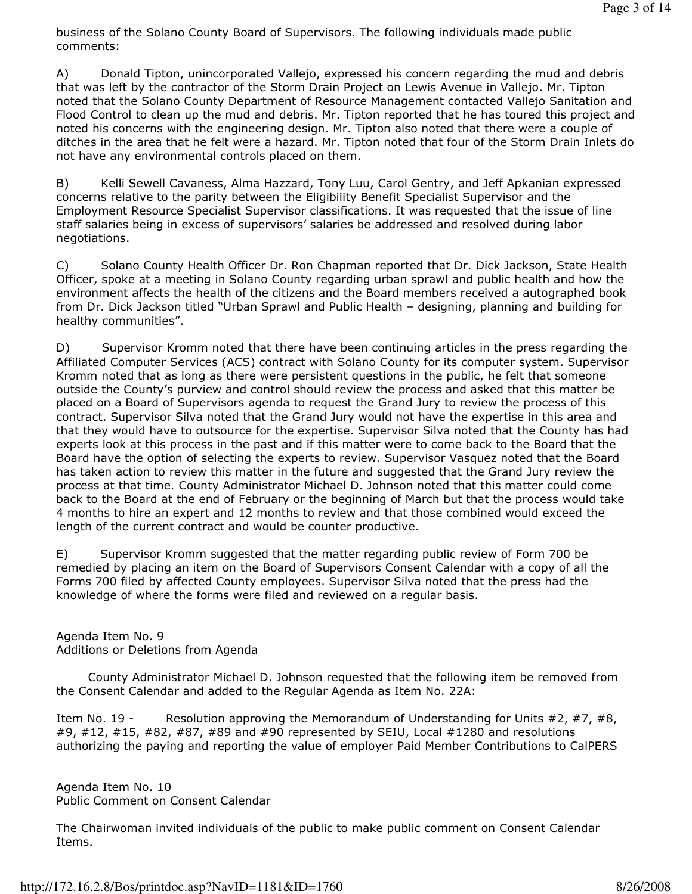business of the Solano County Board of Supervisors. The following individuals made public comments:

A) Donald Tipton, unincorporated Vallejo, expressed his concern regarding the mud and debris that was left by the contractor of the Storm Drain Project on Lewis Avenue in Vallejo. Mr. Tipton noted that the Solano County Department of Resource Management contacted Vallejo Sanitation and Flood Control to clean up the mud and debris. Mr. Tipton reported that he has toured this project and noted his concerns with the engineering design. Mr. Tipton also noted that there were a couple of ditches in the area that he felt were a hazard. Mr. Tipton noted that four of the Storm Drain Inlets do not have any environmental controls placed on them.

B) Kelli Sewell Cavaness, Alma Hazzard, Tony Luu, Carol Gentry, and Jeff Apkanian expressed concerns relative to the parity between the Eligibility Benefit Specialist Supervisor and the Employment Resource Specialist Supervisor classifications. It was requested that the issue of line staff salaries being in excess of supervisors' salaries be addressed and resolved during labor negotiations.

C) Solano County Health Officer Dr. Ron Chapman reported that Dr. Dick Jackson, State Health Officer, spoke at a meeting in Solano County regarding urban sprawl and public health and how the environment affects the health of the citizens and the Board members received a autographed book from Dr. Dick Jackson titled "Urban Sprawl and Public Health – designing, planning and building for healthy communities".

D) Supervisor Kromm noted that there have been continuing articles in the press regarding the Affiliated Computer Services (ACS) contract with Solano County for its computer system. Supervisor Kromm noted that as long as there were persistent questions in the public, he felt that someone outside the County's purview and control should review the process and asked that this matter be placed on a Board of Supervisors agenda to request the Grand Jury to review the process of this contract. Supervisor Silva noted that the Grand Jury would not have the expertise in this area and that they would have to outsource for the expertise. Supervisor Silva noted that the County has had experts look at this process in the past and if this matter were to come back to the Board that the Board have the option of selecting the experts to review. Supervisor Vasquez noted that the Board has taken action to review this matter in the future and suggested that the Grand Jury review the process at that time. County Administrator Michael D. Johnson noted that this matter could come back to the Board at the end of February or the beginning of March but that the process would take 4 months to hire an expert and 12 months to review and that those combined would exceed the length of the current contract and would be counter productive.

E) Supervisor Kromm suggested that the matter regarding public review of Form 700 be remedied by placing an item on the Board of Supervisors Consent Calendar with a copy of all the Forms 700 filed by affected County employees. Supervisor Silva noted that the press had the knowledge of where the forms were filed and reviewed on a regular basis.

Agenda Item No. 9 Additions or Deletions from Agenda

 County Administrator Michael D. Johnson requested that the following item be removed from the Consent Calendar and added to the Regular Agenda as Item No. 22A:

Item No. 19 - Resolution approving the Memorandum of Understanding for Units #2, #7, #8, #9, #12, #15, #82, #87, #89 and #90 represented by SEIU, Local #1280 and resolutions authorizing the paying and reporting the value of employer Paid Member Contributions to CalPERS

Agenda Item No. 10 Public Comment on Consent Calendar

The Chairwoman invited individuals of the public to make public comment on Consent Calendar Items.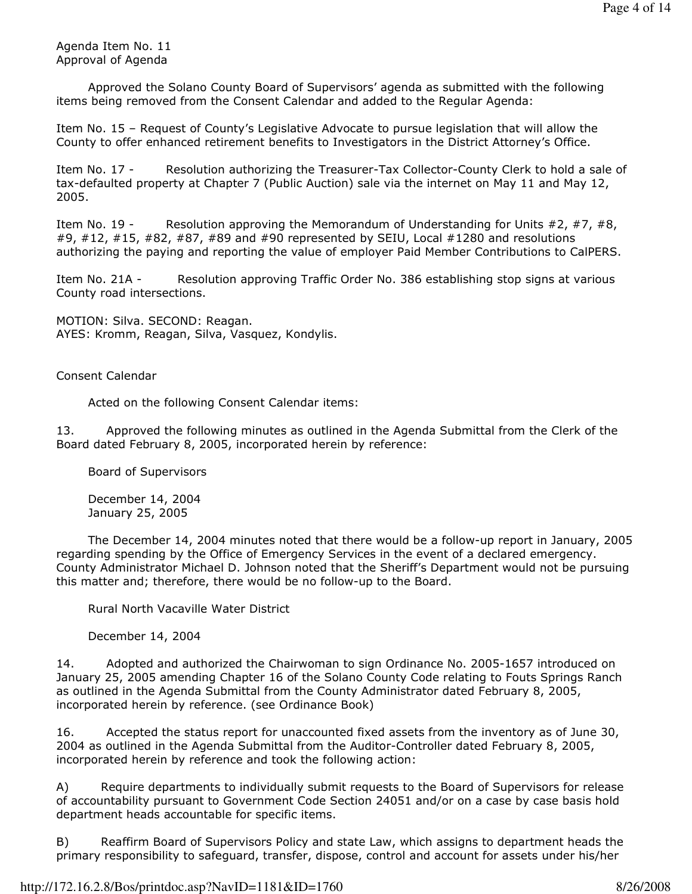Agenda Item No. 11 Approval of Agenda

 Approved the Solano County Board of Supervisors' agenda as submitted with the following items being removed from the Consent Calendar and added to the Regular Agenda:

Item No. 15 – Request of County's Legislative Advocate to pursue legislation that will allow the County to offer enhanced retirement benefits to Investigators in the District Attorney's Office.

Item No. 17 - Resolution authorizing the Treasurer-Tax Collector-County Clerk to hold a sale of tax-defaulted property at Chapter 7 (Public Auction) sale via the internet on May 11 and May 12, 2005.

Item No. 19 - Resolution approving the Memorandum of Understanding for Units  $\#2, \#7, \#8$ , #9, #12, #15, #82, #87, #89 and #90 represented by SEIU, Local #1280 and resolutions authorizing the paying and reporting the value of employer Paid Member Contributions to CalPERS.

Item No. 21A - Resolution approving Traffic Order No. 386 establishing stop signs at various County road intersections.

MOTION: Silva. SECOND: Reagan. AYES: Kromm, Reagan, Silva, Vasquez, Kondylis.

Consent Calendar

Acted on the following Consent Calendar items:

13. Approved the following minutes as outlined in the Agenda Submittal from the Clerk of the Board dated February 8, 2005, incorporated herein by reference:

Board of Supervisors

 December 14, 2004 January 25, 2005

 The December 14, 2004 minutes noted that there would be a follow-up report in January, 2005 regarding spending by the Office of Emergency Services in the event of a declared emergency. County Administrator Michael D. Johnson noted that the Sheriff's Department would not be pursuing this matter and; therefore, there would be no follow-up to the Board.

Rural North Vacaville Water District

December 14, 2004

14. Adopted and authorized the Chairwoman to sign Ordinance No. 2005-1657 introduced on January 25, 2005 amending Chapter 16 of the Solano County Code relating to Fouts Springs Ranch as outlined in the Agenda Submittal from the County Administrator dated February 8, 2005, incorporated herein by reference. (see Ordinance Book)

16. Accepted the status report for unaccounted fixed assets from the inventory as of June 30, 2004 as outlined in the Agenda Submittal from the Auditor-Controller dated February 8, 2005, incorporated herein by reference and took the following action:

A) Require departments to individually submit requests to the Board of Supervisors for release of accountability pursuant to Government Code Section 24051 and/or on a case by case basis hold department heads accountable for specific items.

B) Reaffirm Board of Supervisors Policy and state Law, which assigns to department heads the primary responsibility to safeguard, transfer, dispose, control and account for assets under his/her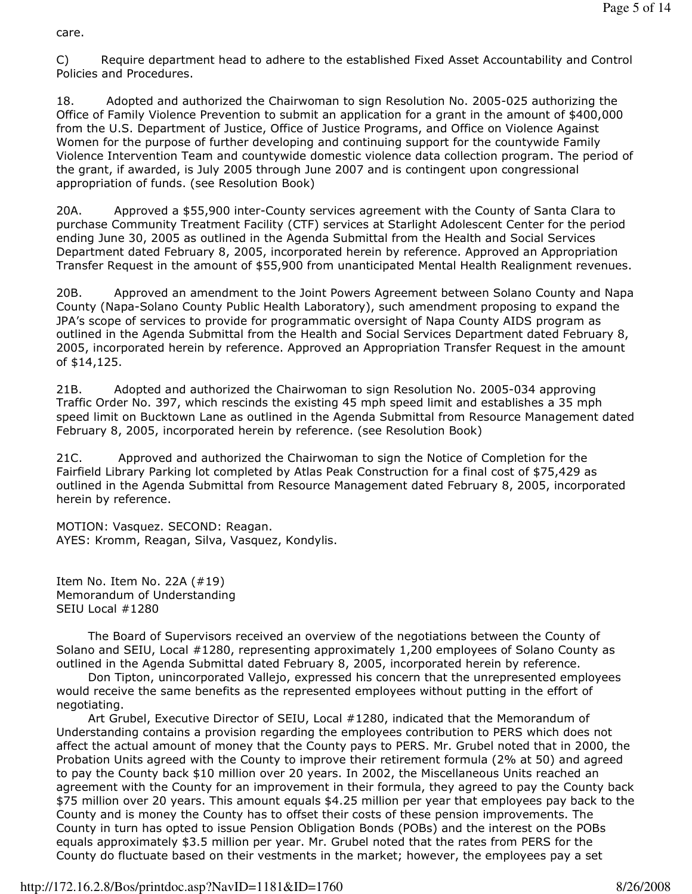care.

C) Require department head to adhere to the established Fixed Asset Accountability and Control Policies and Procedures.

18. Adopted and authorized the Chairwoman to sign Resolution No. 2005-025 authorizing the Office of Family Violence Prevention to submit an application for a grant in the amount of \$400,000 from the U.S. Department of Justice, Office of Justice Programs, and Office on Violence Against Women for the purpose of further developing and continuing support for the countywide Family Violence Intervention Team and countywide domestic violence data collection program. The period of the grant, if awarded, is July 2005 through June 2007 and is contingent upon congressional appropriation of funds. (see Resolution Book)

20A. Approved a \$55,900 inter-County services agreement with the County of Santa Clara to purchase Community Treatment Facility (CTF) services at Starlight Adolescent Center for the period ending June 30, 2005 as outlined in the Agenda Submittal from the Health and Social Services Department dated February 8, 2005, incorporated herein by reference. Approved an Appropriation Transfer Request in the amount of \$55,900 from unanticipated Mental Health Realignment revenues.

20B. Approved an amendment to the Joint Powers Agreement between Solano County and Napa County (Napa-Solano County Public Health Laboratory), such amendment proposing to expand the JPA's scope of services to provide for programmatic oversight of Napa County AIDS program as outlined in the Agenda Submittal from the Health and Social Services Department dated February 8, 2005, incorporated herein by reference. Approved an Appropriation Transfer Request in the amount of \$14,125.

21B. Adopted and authorized the Chairwoman to sign Resolution No. 2005-034 approving Traffic Order No. 397, which rescinds the existing 45 mph speed limit and establishes a 35 mph speed limit on Bucktown Lane as outlined in the Agenda Submittal from Resource Management dated February 8, 2005, incorporated herein by reference. (see Resolution Book)

21C. Approved and authorized the Chairwoman to sign the Notice of Completion for the Fairfield Library Parking lot completed by Atlas Peak Construction for a final cost of \$75,429 as outlined in the Agenda Submittal from Resource Management dated February 8, 2005, incorporated herein by reference.

MOTION: Vasquez. SECOND: Reagan. AYES: Kromm, Reagan, Silva, Vasquez, Kondylis.

Item No. Item No. 22A (#19) Memorandum of Understanding SEIU Local #1280

 The Board of Supervisors received an overview of the negotiations between the County of Solano and SEIU, Local #1280, representing approximately 1,200 employees of Solano County as outlined in the Agenda Submittal dated February 8, 2005, incorporated herein by reference.

 Don Tipton, unincorporated Vallejo, expressed his concern that the unrepresented employees would receive the same benefits as the represented employees without putting in the effort of negotiating.

 Art Grubel, Executive Director of SEIU, Local #1280, indicated that the Memorandum of Understanding contains a provision regarding the employees contribution to PERS which does not affect the actual amount of money that the County pays to PERS. Mr. Grubel noted that in 2000, the Probation Units agreed with the County to improve their retirement formula (2% at 50) and agreed to pay the County back \$10 million over 20 years. In 2002, the Miscellaneous Units reached an agreement with the County for an improvement in their formula, they agreed to pay the County back \$75 million over 20 years. This amount equals \$4.25 million per year that employees pay back to the County and is money the County has to offset their costs of these pension improvements. The County in turn has opted to issue Pension Obligation Bonds (POBs) and the interest on the POBs equals approximately \$3.5 million per year. Mr. Grubel noted that the rates from PERS for the County do fluctuate based on their vestments in the market; however, the employees pay a set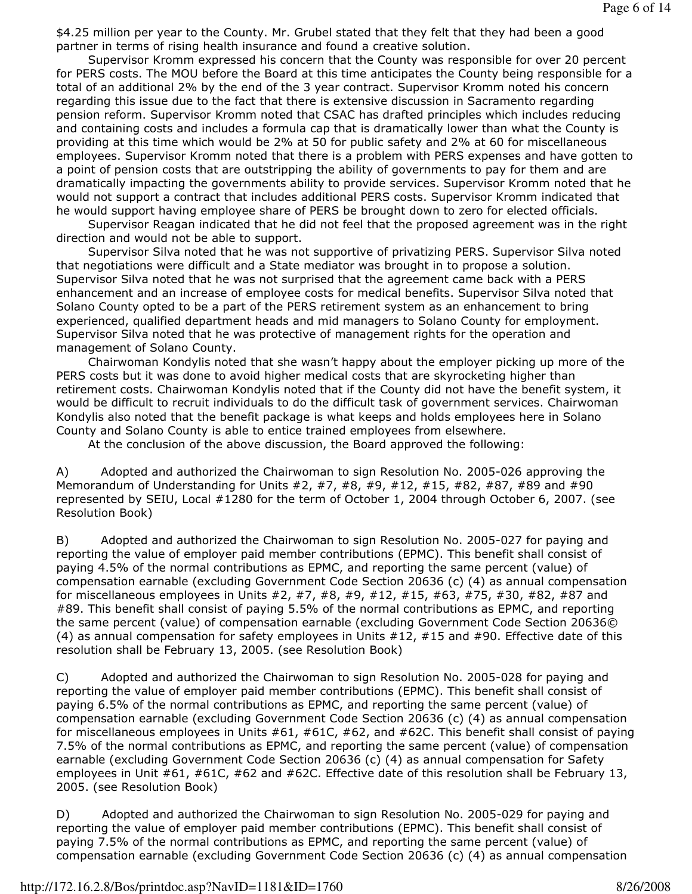\$4.25 million per year to the County. Mr. Grubel stated that they felt that they had been a good partner in terms of rising health insurance and found a creative solution.

 Supervisor Kromm expressed his concern that the County was responsible for over 20 percent for PERS costs. The MOU before the Board at this time anticipates the County being responsible for a total of an additional 2% by the end of the 3 year contract. Supervisor Kromm noted his concern regarding this issue due to the fact that there is extensive discussion in Sacramento regarding pension reform. Supervisor Kromm noted that CSAC has drafted principles which includes reducing and containing costs and includes a formula cap that is dramatically lower than what the County is providing at this time which would be 2% at 50 for public safety and 2% at 60 for miscellaneous employees. Supervisor Kromm noted that there is a problem with PERS expenses and have gotten to a point of pension costs that are outstripping the ability of governments to pay for them and are dramatically impacting the governments ability to provide services. Supervisor Kromm noted that he would not support a contract that includes additional PERS costs. Supervisor Kromm indicated that he would support having employee share of PERS be brought down to zero for elected officials.

 Supervisor Reagan indicated that he did not feel that the proposed agreement was in the right direction and would not be able to support.

 Supervisor Silva noted that he was not supportive of privatizing PERS. Supervisor Silva noted that negotiations were difficult and a State mediator was brought in to propose a solution. Supervisor Silva noted that he was not surprised that the agreement came back with a PERS enhancement and an increase of employee costs for medical benefits. Supervisor Silva noted that Solano County opted to be a part of the PERS retirement system as an enhancement to bring experienced, qualified department heads and mid managers to Solano County for employment. Supervisor Silva noted that he was protective of management rights for the operation and management of Solano County.

 Chairwoman Kondylis noted that she wasn't happy about the employer picking up more of the PERS costs but it was done to avoid higher medical costs that are skyrocketing higher than retirement costs. Chairwoman Kondylis noted that if the County did not have the benefit system, it would be difficult to recruit individuals to do the difficult task of government services. Chairwoman Kondylis also noted that the benefit package is what keeps and holds employees here in Solano County and Solano County is able to entice trained employees from elsewhere.

At the conclusion of the above discussion, the Board approved the following:

A) Adopted and authorized the Chairwoman to sign Resolution No. 2005-026 approving the Memorandum of Understanding for Units  $#2, #7, #8, #9, #12, #15, #82, #87, #89$  and  $#90$ represented by SEIU, Local #1280 for the term of October 1, 2004 through October 6, 2007. (see Resolution Book)

B) Adopted and authorized the Chairwoman to sign Resolution No. 2005-027 for paying and reporting the value of employer paid member contributions (EPMC). This benefit shall consist of paying 4.5% of the normal contributions as EPMC, and reporting the same percent (value) of compensation earnable (excluding Government Code Section 20636 (c) (4) as annual compensation for miscellaneous employees in Units #2, #7, #8, #9, #12, #15, #63, #75, #30, #82, #87 and #89. This benefit shall consist of paying 5.5% of the normal contributions as EPMC, and reporting the same percent (value) of compensation earnable (excluding Government Code Section 20636© (4) as annual compensation for safety employees in Units  $#12, #15$  and  $#90$ . Effective date of this resolution shall be February 13, 2005. (see Resolution Book)

C) Adopted and authorized the Chairwoman to sign Resolution No. 2005-028 for paying and reporting the value of employer paid member contributions (EPMC). This benefit shall consist of paying 6.5% of the normal contributions as EPMC, and reporting the same percent (value) of compensation earnable (excluding Government Code Section 20636 (c) (4) as annual compensation for miscellaneous employees in Units #61, #61C, #62, and #62C. This benefit shall consist of paying 7.5% of the normal contributions as EPMC, and reporting the same percent (value) of compensation earnable (excluding Government Code Section 20636 (c) (4) as annual compensation for Safety employees in Unit #61, #61C, #62 and #62C. Effective date of this resolution shall be February 13, 2005. (see Resolution Book)

D) Adopted and authorized the Chairwoman to sign Resolution No. 2005-029 for paying and reporting the value of employer paid member contributions (EPMC). This benefit shall consist of paying 7.5% of the normal contributions as EPMC, and reporting the same percent (value) of compensation earnable (excluding Government Code Section 20636 (c) (4) as annual compensation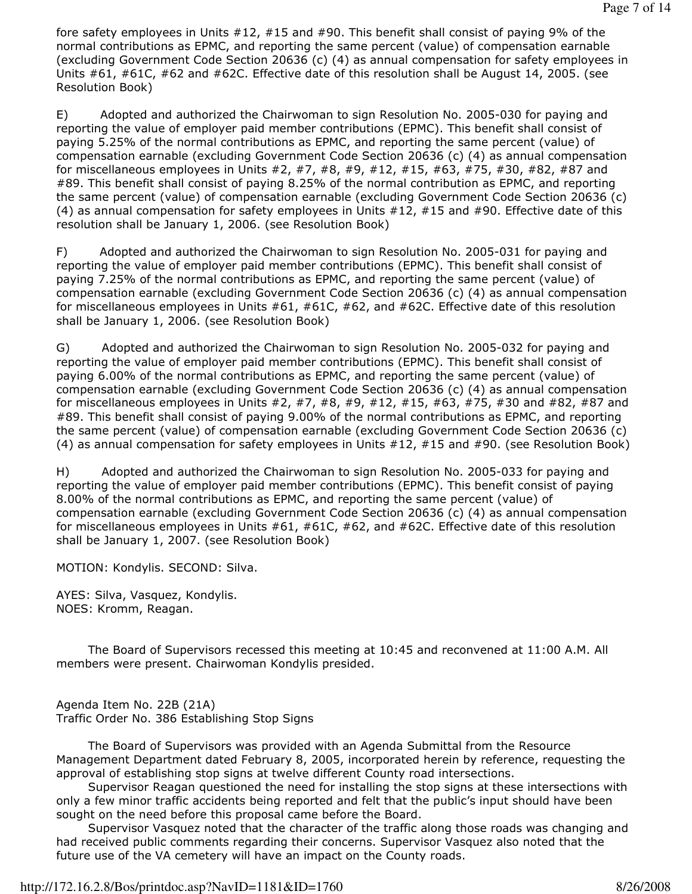fore safety employees in Units #12, #15 and #90. This benefit shall consist of paying 9% of the normal contributions as EPMC, and reporting the same percent (value) of compensation earnable (excluding Government Code Section 20636 (c) (4) as annual compensation for safety employees in Units #61, #61C, #62 and #62C. Effective date of this resolution shall be August 14, 2005. (see Resolution Book)

E) Adopted and authorized the Chairwoman to sign Resolution No. 2005-030 for paying and reporting the value of employer paid member contributions (EPMC). This benefit shall consist of paying 5.25% of the normal contributions as EPMC, and reporting the same percent (value) of compensation earnable (excluding Government Code Section 20636 (c) (4) as annual compensation for miscellaneous employees in Units #2, #7, #8, #9, #12, #15, #63, #75, #30, #82, #87 and #89. This benefit shall consist of paying 8.25% of the normal contribution as EPMC, and reporting the same percent (value) of compensation earnable (excluding Government Code Section 20636 (c) (4) as annual compensation for safety employees in Units #12, #15 and #90. Effective date of this resolution shall be January 1, 2006. (see Resolution Book)

F) Adopted and authorized the Chairwoman to sign Resolution No. 2005-031 for paying and reporting the value of employer paid member contributions (EPMC). This benefit shall consist of paying 7.25% of the normal contributions as EPMC, and reporting the same percent (value) of compensation earnable (excluding Government Code Section 20636 (c) (4) as annual compensation for miscellaneous employees in Units #61, #61C, #62, and #62C. Effective date of this resolution shall be January 1, 2006. (see Resolution Book)

G) Adopted and authorized the Chairwoman to sign Resolution No. 2005-032 for paying and reporting the value of employer paid member contributions (EPMC). This benefit shall consist of paying 6.00% of the normal contributions as EPMC, and reporting the same percent (value) of compensation earnable (excluding Government Code Section 20636 (c) (4) as annual compensation for miscellaneous employees in Units #2, #7, #8, #9, #12, #15, #63, #75, #30 and #82, #87 and #89. This benefit shall consist of paying 9.00% of the normal contributions as EPMC, and reporting the same percent (value) of compensation earnable (excluding Government Code Section 20636 (c) (4) as annual compensation for safety employees in Units #12, #15 and #90. (see Resolution Book)

H) Adopted and authorized the Chairwoman to sign Resolution No. 2005-033 for paying and reporting the value of employer paid member contributions (EPMC). This benefit consist of paying 8.00% of the normal contributions as EPMC, and reporting the same percent (value) of compensation earnable (excluding Government Code Section 20636 (c) (4) as annual compensation for miscellaneous employees in Units #61, #61C, #62, and #62C. Effective date of this resolution shall be January 1, 2007. (see Resolution Book)

MOTION: Kondylis. SECOND: Silva.

AYES: Silva, Vasquez, Kondylis. NOES: Kromm, Reagan.

 The Board of Supervisors recessed this meeting at 10:45 and reconvened at 11:00 A.M. All members were present. Chairwoman Kondylis presided.

Agenda Item No. 22B (21A) Traffic Order No. 386 Establishing Stop Signs

 The Board of Supervisors was provided with an Agenda Submittal from the Resource Management Department dated February 8, 2005, incorporated herein by reference, requesting the approval of establishing stop signs at twelve different County road intersections.

 Supervisor Reagan questioned the need for installing the stop signs at these intersections with only a few minor traffic accidents being reported and felt that the public's input should have been sought on the need before this proposal came before the Board.

 Supervisor Vasquez noted that the character of the traffic along those roads was changing and had received public comments regarding their concerns. Supervisor Vasquez also noted that the future use of the VA cemetery will have an impact on the County roads.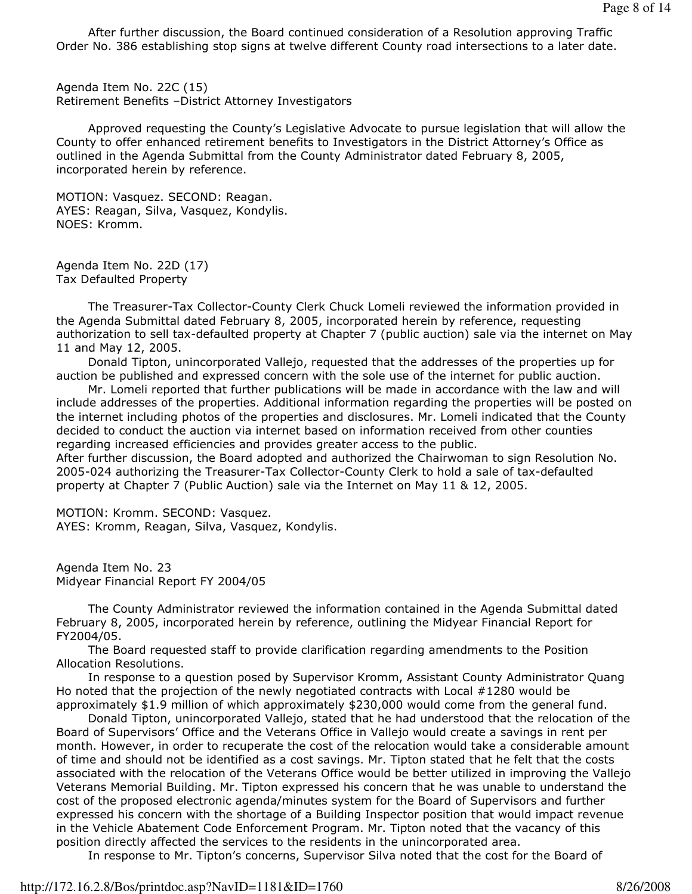After further discussion, the Board continued consideration of a Resolution approving Traffic Order No. 386 establishing stop signs at twelve different County road intersections to a later date.

Agenda Item No. 22C (15) Retirement Benefits –District Attorney Investigators

 Approved requesting the County's Legislative Advocate to pursue legislation that will allow the County to offer enhanced retirement benefits to Investigators in the District Attorney's Office as outlined in the Agenda Submittal from the County Administrator dated February 8, 2005, incorporated herein by reference.

MOTION: Vasquez. SECOND: Reagan. AYES: Reagan, Silva, Vasquez, Kondylis. NOES: Kromm.

Agenda Item No. 22D (17) Tax Defaulted Property

 The Treasurer-Tax Collector-County Clerk Chuck Lomeli reviewed the information provided in the Agenda Submittal dated February 8, 2005, incorporated herein by reference, requesting authorization to sell tax-defaulted property at Chapter 7 (public auction) sale via the internet on May 11 and May 12, 2005.

 Donald Tipton, unincorporated Vallejo, requested that the addresses of the properties up for auction be published and expressed concern with the sole use of the internet for public auction.

 Mr. Lomeli reported that further publications will be made in accordance with the law and will include addresses of the properties. Additional information regarding the properties will be posted on the internet including photos of the properties and disclosures. Mr. Lomeli indicated that the County decided to conduct the auction via internet based on information received from other counties regarding increased efficiencies and provides greater access to the public.

After further discussion, the Board adopted and authorized the Chairwoman to sign Resolution No. 2005-024 authorizing the Treasurer-Tax Collector-County Clerk to hold a sale of tax-defaulted property at Chapter 7 (Public Auction) sale via the Internet on May 11 & 12, 2005.

MOTION: Kromm. SECOND: Vasquez. AYES: Kromm, Reagan, Silva, Vasquez, Kondylis.

Agenda Item No. 23 Midyear Financial Report FY 2004/05

 The County Administrator reviewed the information contained in the Agenda Submittal dated February 8, 2005, incorporated herein by reference, outlining the Midyear Financial Report for FY2004/05.

 The Board requested staff to provide clarification regarding amendments to the Position Allocation Resolutions.

 In response to a question posed by Supervisor Kromm, Assistant County Administrator Quang Ho noted that the projection of the newly negotiated contracts with Local #1280 would be approximately \$1.9 million of which approximately \$230,000 would come from the general fund.

 Donald Tipton, unincorporated Vallejo, stated that he had understood that the relocation of the Board of Supervisors' Office and the Veterans Office in Vallejo would create a savings in rent per month. However, in order to recuperate the cost of the relocation would take a considerable amount of time and should not be identified as a cost savings. Mr. Tipton stated that he felt that the costs associated with the relocation of the Veterans Office would be better utilized in improving the Vallejo Veterans Memorial Building. Mr. Tipton expressed his concern that he was unable to understand the cost of the proposed electronic agenda/minutes system for the Board of Supervisors and further expressed his concern with the shortage of a Building Inspector position that would impact revenue in the Vehicle Abatement Code Enforcement Program. Mr. Tipton noted that the vacancy of this position directly affected the services to the residents in the unincorporated area.

In response to Mr. Tipton's concerns, Supervisor Silva noted that the cost for the Board of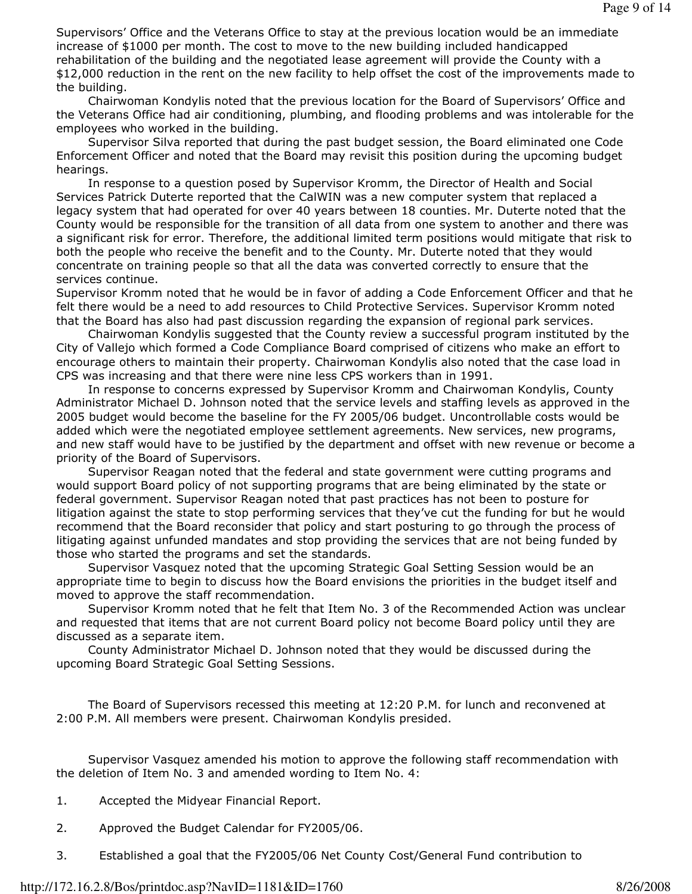Supervisors' Office and the Veterans Office to stay at the previous location would be an immediate increase of \$1000 per month. The cost to move to the new building included handicapped rehabilitation of the building and the negotiated lease agreement will provide the County with a \$12,000 reduction in the rent on the new facility to help offset the cost of the improvements made to the building.

 Chairwoman Kondylis noted that the previous location for the Board of Supervisors' Office and the Veterans Office had air conditioning, plumbing, and flooding problems and was intolerable for the employees who worked in the building.

 Supervisor Silva reported that during the past budget session, the Board eliminated one Code Enforcement Officer and noted that the Board may revisit this position during the upcoming budget hearings.

 In response to a question posed by Supervisor Kromm, the Director of Health and Social Services Patrick Duterte reported that the CalWIN was a new computer system that replaced a legacy system that had operated for over 40 years between 18 counties. Mr. Duterte noted that the County would be responsible for the transition of all data from one system to another and there was a significant risk for error. Therefore, the additional limited term positions would mitigate that risk to both the people who receive the benefit and to the County. Mr. Duterte noted that they would concentrate on training people so that all the data was converted correctly to ensure that the services continue.

Supervisor Kromm noted that he would be in favor of adding a Code Enforcement Officer and that he felt there would be a need to add resources to Child Protective Services. Supervisor Kromm noted that the Board has also had past discussion regarding the expansion of regional park services.

 Chairwoman Kondylis suggested that the County review a successful program instituted by the City of Vallejo which formed a Code Compliance Board comprised of citizens who make an effort to encourage others to maintain their property. Chairwoman Kondylis also noted that the case load in CPS was increasing and that there were nine less CPS workers than in 1991.

 In response to concerns expressed by Supervisor Kromm and Chairwoman Kondylis, County Administrator Michael D. Johnson noted that the service levels and staffing levels as approved in the 2005 budget would become the baseline for the FY 2005/06 budget. Uncontrollable costs would be added which were the negotiated employee settlement agreements. New services, new programs, and new staff would have to be justified by the department and offset with new revenue or become a priority of the Board of Supervisors.

 Supervisor Reagan noted that the federal and state government were cutting programs and would support Board policy of not supporting programs that are being eliminated by the state or federal government. Supervisor Reagan noted that past practices has not been to posture for litigation against the state to stop performing services that they've cut the funding for but he would recommend that the Board reconsider that policy and start posturing to go through the process of litigating against unfunded mandates and stop providing the services that are not being funded by those who started the programs and set the standards.

 Supervisor Vasquez noted that the upcoming Strategic Goal Setting Session would be an appropriate time to begin to discuss how the Board envisions the priorities in the budget itself and moved to approve the staff recommendation.

 Supervisor Kromm noted that he felt that Item No. 3 of the Recommended Action was unclear and requested that items that are not current Board policy not become Board policy until they are discussed as a separate item.

 County Administrator Michael D. Johnson noted that they would be discussed during the upcoming Board Strategic Goal Setting Sessions.

 The Board of Supervisors recessed this meeting at 12:20 P.M. for lunch and reconvened at 2:00 P.M. All members were present. Chairwoman Kondylis presided.

 Supervisor Vasquez amended his motion to approve the following staff recommendation with the deletion of Item No. 3 and amended wording to Item No. 4:

- 1. Accepted the Midyear Financial Report.
- 2. Approved the Budget Calendar for FY2005/06.
- 3. Established a goal that the FY2005/06 Net County Cost/General Fund contribution to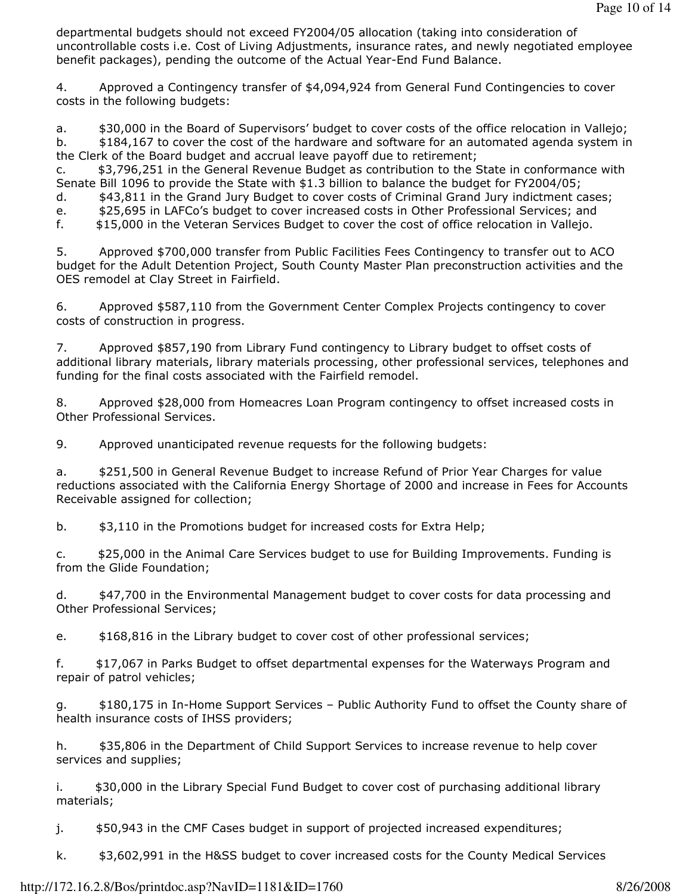departmental budgets should not exceed FY2004/05 allocation (taking into consideration of uncontrollable costs i.e. Cost of Living Adjustments, insurance rates, and newly negotiated employee benefit packages), pending the outcome of the Actual Year-End Fund Balance.

4. Approved a Contingency transfer of \$4,094,924 from General Fund Contingencies to cover costs in the following budgets:

a.  $$30,000$  in the Board of Supervisors' budget to cover costs of the office relocation in Vallejo; b.  $$184,167$  to cover the cost of the hardware and software for an automated agenda system in the Clerk of the Board budget and accrual leave payoff due to retirement;

c. \$3,796,251 in the General Revenue Budget as contribution to the State in conformance with Senate Bill 1096 to provide the State with \$1.3 billion to balance the budget for FY2004/05;

d. \$43,811 in the Grand Jury Budget to cover costs of Criminal Grand Jury indictment cases;

e. \$25,695 in LAFCo's budget to cover increased costs in Other Professional Services; and

f. \$15,000 in the Veteran Services Budget to cover the cost of office relocation in Vallejo.

5. Approved \$700,000 transfer from Public Facilities Fees Contingency to transfer out to ACO budget for the Adult Detention Project, South County Master Plan preconstruction activities and the OES remodel at Clay Street in Fairfield.

6. Approved \$587,110 from the Government Center Complex Projects contingency to cover costs of construction in progress.

7. Approved \$857,190 from Library Fund contingency to Library budget to offset costs of additional library materials, library materials processing, other professional services, telephones and funding for the final costs associated with the Fairfield remodel.

8. Approved \$28,000 from Homeacres Loan Program contingency to offset increased costs in Other Professional Services.

9. Approved unanticipated revenue requests for the following budgets:

a. \$251,500 in General Revenue Budget to increase Refund of Prior Year Charges for value reductions associated with the California Energy Shortage of 2000 and increase in Fees for Accounts Receivable assigned for collection;

b.  $\sharp$ 3,110 in the Promotions budget for increased costs for Extra Help;

c. \$25,000 in the Animal Care Services budget to use for Building Improvements. Funding is from the Glide Foundation;

d. \$47,700 in the Environmental Management budget to cover costs for data processing and Other Professional Services;

e. \$168,816 in the Library budget to cover cost of other professional services;

f. \$17,067 in Parks Budget to offset departmental expenses for the Waterways Program and repair of patrol vehicles;

g. \$180,175 in In-Home Support Services – Public Authority Fund to offset the County share of health insurance costs of IHSS providers;

h.  $$35,806$  in the Department of Child Support Services to increase revenue to help cover services and supplies;

i. \$30,000 in the Library Special Fund Budget to cover cost of purchasing additional library materials;

j. \$50,943 in the CMF Cases budget in support of projected increased expenditures;

k. \$3,602,991 in the H&SS budget to cover increased costs for the County Medical Services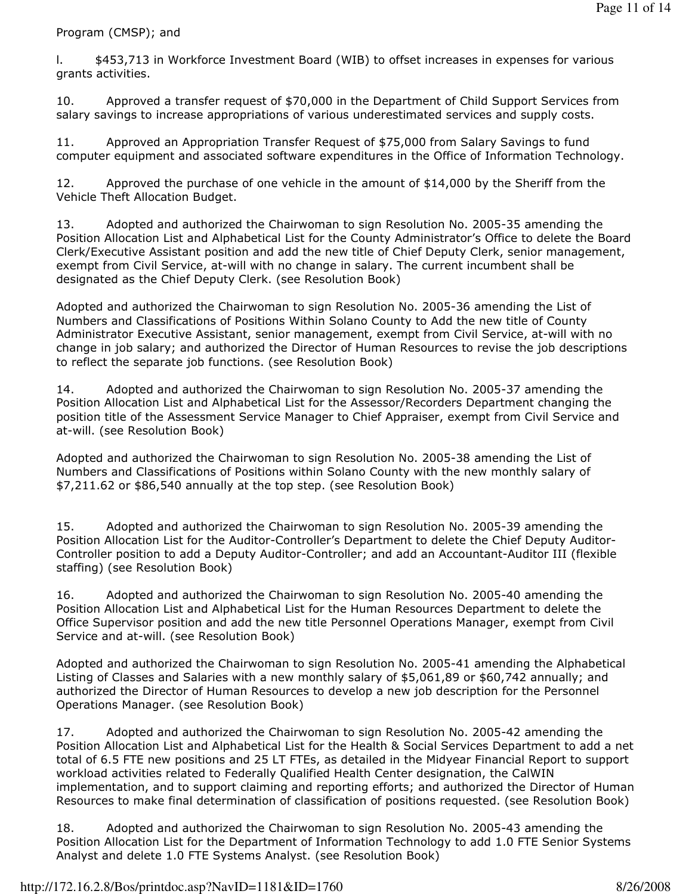Program (CMSP); and

l. \$453,713 in Workforce Investment Board (WIB) to offset increases in expenses for various grants activities.

10. Approved a transfer request of \$70,000 in the Department of Child Support Services from salary savings to increase appropriations of various underestimated services and supply costs.

11. Approved an Appropriation Transfer Request of \$75,000 from Salary Savings to fund computer equipment and associated software expenditures in the Office of Information Technology.

12. Approved the purchase of one vehicle in the amount of \$14,000 by the Sheriff from the Vehicle Theft Allocation Budget.

13. Adopted and authorized the Chairwoman to sign Resolution No. 2005-35 amending the Position Allocation List and Alphabetical List for the County Administrator's Office to delete the Board Clerk/Executive Assistant position and add the new title of Chief Deputy Clerk, senior management, exempt from Civil Service, at-will with no change in salary. The current incumbent shall be designated as the Chief Deputy Clerk. (see Resolution Book)

Adopted and authorized the Chairwoman to sign Resolution No. 2005-36 amending the List of Numbers and Classifications of Positions Within Solano County to Add the new title of County Administrator Executive Assistant, senior management, exempt from Civil Service, at-will with no change in job salary; and authorized the Director of Human Resources to revise the job descriptions to reflect the separate job functions. (see Resolution Book)

14. Adopted and authorized the Chairwoman to sign Resolution No. 2005-37 amending the Position Allocation List and Alphabetical List for the Assessor/Recorders Department changing the position title of the Assessment Service Manager to Chief Appraiser, exempt from Civil Service and at-will. (see Resolution Book)

Adopted and authorized the Chairwoman to sign Resolution No. 2005-38 amending the List of Numbers and Classifications of Positions within Solano County with the new monthly salary of \$7,211.62 or \$86,540 annually at the top step. (see Resolution Book)

15. Adopted and authorized the Chairwoman to sign Resolution No. 2005-39 amending the Position Allocation List for the Auditor-Controller's Department to delete the Chief Deputy Auditor-Controller position to add a Deputy Auditor-Controller; and add an Accountant-Auditor III (flexible staffing) (see Resolution Book)

16. Adopted and authorized the Chairwoman to sign Resolution No. 2005-40 amending the Position Allocation List and Alphabetical List for the Human Resources Department to delete the Office Supervisor position and add the new title Personnel Operations Manager, exempt from Civil Service and at-will. (see Resolution Book)

Adopted and authorized the Chairwoman to sign Resolution No. 2005-41 amending the Alphabetical Listing of Classes and Salaries with a new monthly salary of \$5,061,89 or \$60,742 annually; and authorized the Director of Human Resources to develop a new job description for the Personnel Operations Manager. (see Resolution Book)

17. Adopted and authorized the Chairwoman to sign Resolution No. 2005-42 amending the Position Allocation List and Alphabetical List for the Health & Social Services Department to add a net total of 6.5 FTE new positions and 25 LT FTEs, as detailed in the Midyear Financial Report to support workload activities related to Federally Qualified Health Center designation, the CalWIN implementation, and to support claiming and reporting efforts; and authorized the Director of Human Resources to make final determination of classification of positions requested. (see Resolution Book)

18. Adopted and authorized the Chairwoman to sign Resolution No. 2005-43 amending the Position Allocation List for the Department of Information Technology to add 1.0 FTE Senior Systems Analyst and delete 1.0 FTE Systems Analyst. (see Resolution Book)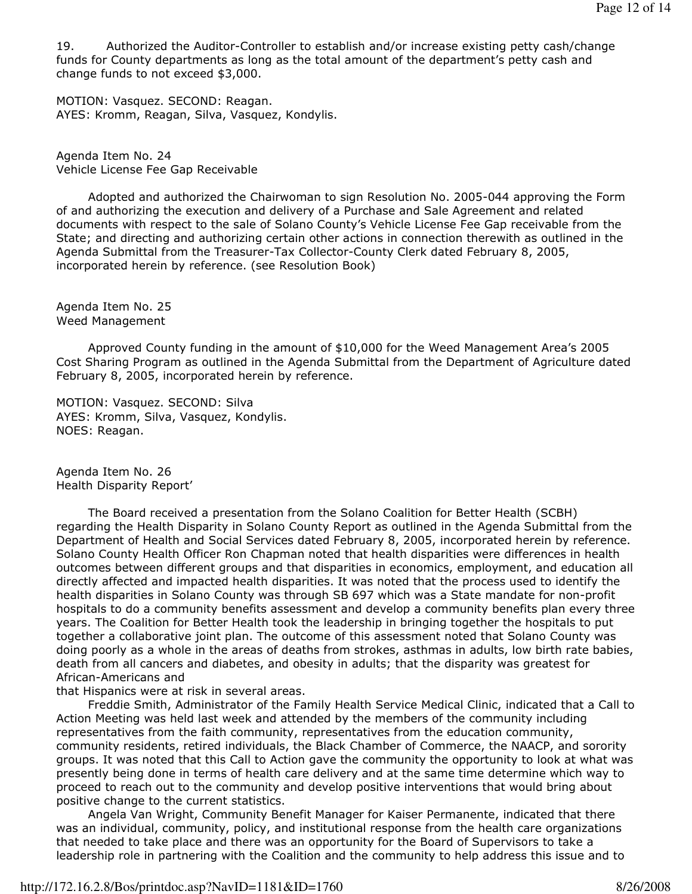19. Authorized the Auditor-Controller to establish and/or increase existing petty cash/change funds for County departments as long as the total amount of the department's petty cash and change funds to not exceed \$3,000.

MOTION: Vasquez. SECOND: Reagan. AYES: Kromm, Reagan, Silva, Vasquez, Kondylis.

Agenda Item No. 24 Vehicle License Fee Gap Receivable

 Adopted and authorized the Chairwoman to sign Resolution No. 2005-044 approving the Form of and authorizing the execution and delivery of a Purchase and Sale Agreement and related documents with respect to the sale of Solano County's Vehicle License Fee Gap receivable from the State; and directing and authorizing certain other actions in connection therewith as outlined in the Agenda Submittal from the Treasurer-Tax Collector-County Clerk dated February 8, 2005, incorporated herein by reference. (see Resolution Book)

Agenda Item No. 25 Weed Management

 Approved County funding in the amount of \$10,000 for the Weed Management Area's 2005 Cost Sharing Program as outlined in the Agenda Submittal from the Department of Agriculture dated February 8, 2005, incorporated herein by reference.

MOTION: Vasquez. SECOND: Silva AYES: Kromm, Silva, Vasquez, Kondylis. NOES: Reagan.

Agenda Item No. 26 Health Disparity Report'

 The Board received a presentation from the Solano Coalition for Better Health (SCBH) regarding the Health Disparity in Solano County Report as outlined in the Agenda Submittal from the Department of Health and Social Services dated February 8, 2005, incorporated herein by reference. Solano County Health Officer Ron Chapman noted that health disparities were differences in health outcomes between different groups and that disparities in economics, employment, and education all directly affected and impacted health disparities. It was noted that the process used to identify the health disparities in Solano County was through SB 697 which was a State mandate for non-profit hospitals to do a community benefits assessment and develop a community benefits plan every three years. The Coalition for Better Health took the leadership in bringing together the hospitals to put together a collaborative joint plan. The outcome of this assessment noted that Solano County was doing poorly as a whole in the areas of deaths from strokes, asthmas in adults, low birth rate babies, death from all cancers and diabetes, and obesity in adults; that the disparity was greatest for African-Americans and

that Hispanics were at risk in several areas.

 Freddie Smith, Administrator of the Family Health Service Medical Clinic, indicated that a Call to Action Meeting was held last week and attended by the members of the community including representatives from the faith community, representatives from the education community, community residents, retired individuals, the Black Chamber of Commerce, the NAACP, and sorority groups. It was noted that this Call to Action gave the community the opportunity to look at what was presently being done in terms of health care delivery and at the same time determine which way to proceed to reach out to the community and develop positive interventions that would bring about positive change to the current statistics.

 Angela Van Wright, Community Benefit Manager for Kaiser Permanente, indicated that there was an individual, community, policy, and institutional response from the health care organizations that needed to take place and there was an opportunity for the Board of Supervisors to take a leadership role in partnering with the Coalition and the community to help address this issue and to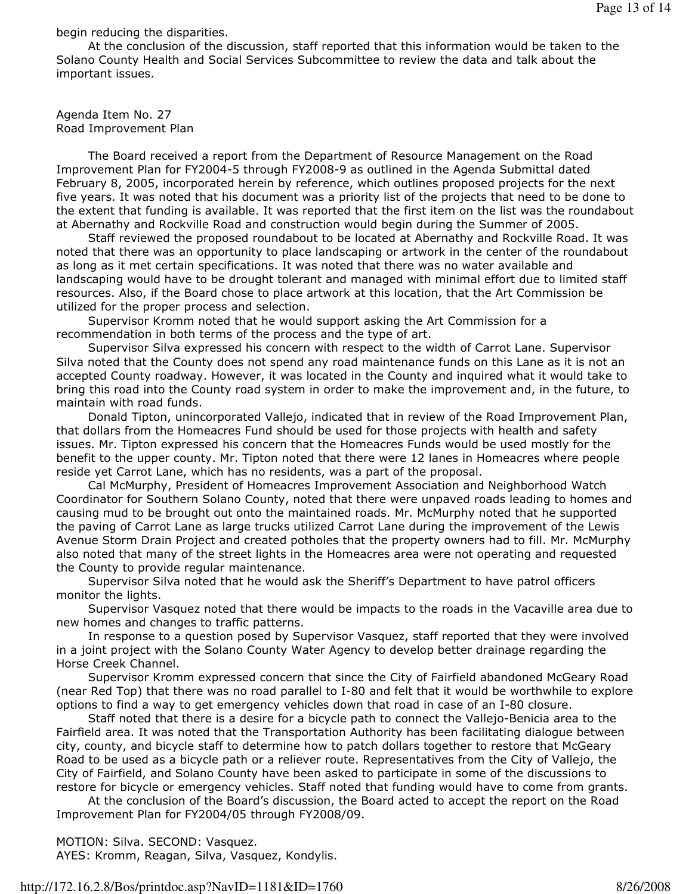begin reducing the disparities.

 At the conclusion of the discussion, staff reported that this information would be taken to the Solano County Health and Social Services Subcommittee to review the data and talk about the important issues.

Agenda Item No. 27 Road Improvement Plan

 The Board received a report from the Department of Resource Management on the Road Improvement Plan for FY2004-5 through FY2008-9 as outlined in the Agenda Submittal dated February 8, 2005, incorporated herein by reference, which outlines proposed projects for the next five years. It was noted that his document was a priority list of the projects that need to be done to the extent that funding is available. It was reported that the first item on the list was the roundabout at Abernathy and Rockville Road and construction would begin during the Summer of 2005.

 Staff reviewed the proposed roundabout to be located at Abernathy and Rockville Road. It was noted that there was an opportunity to place landscaping or artwork in the center of the roundabout as long as it met certain specifications. It was noted that there was no water available and landscaping would have to be drought tolerant and managed with minimal effort due to limited staff resources. Also, if the Board chose to place artwork at this location, that the Art Commission be utilized for the proper process and selection.

 Supervisor Kromm noted that he would support asking the Art Commission for a recommendation in both terms of the process and the type of art.

 Supervisor Silva expressed his concern with respect to the width of Carrot Lane. Supervisor Silva noted that the County does not spend any road maintenance funds on this Lane as it is not an accepted County roadway. However, it was located in the County and inquired what it would take to bring this road into the County road system in order to make the improvement and, in the future, to maintain with road funds.

 Donald Tipton, unincorporated Vallejo, indicated that in review of the Road Improvement Plan, that dollars from the Homeacres Fund should be used for those projects with health and safety issues. Mr. Tipton expressed his concern that the Homeacres Funds would be used mostly for the benefit to the upper county. Mr. Tipton noted that there were 12 lanes in Homeacres where people reside yet Carrot Lane, which has no residents, was a part of the proposal.

 Cal McMurphy, President of Homeacres Improvement Association and Neighborhood Watch Coordinator for Southern Solano County, noted that there were unpaved roads leading to homes and causing mud to be brought out onto the maintained roads. Mr. McMurphy noted that he supported the paving of Carrot Lane as large trucks utilized Carrot Lane during the improvement of the Lewis Avenue Storm Drain Project and created potholes that the property owners had to fill. Mr. McMurphy also noted that many of the street lights in the Homeacres area were not operating and requested the County to provide regular maintenance.

 Supervisor Silva noted that he would ask the Sheriff's Department to have patrol officers monitor the lights.

 Supervisor Vasquez noted that there would be impacts to the roads in the Vacaville area due to new homes and changes to traffic patterns.

 In response to a question posed by Supervisor Vasquez, staff reported that they were involved in a joint project with the Solano County Water Agency to develop better drainage regarding the Horse Creek Channel.

 Supervisor Kromm expressed concern that since the City of Fairfield abandoned McGeary Road (near Red Top) that there was no road parallel to I-80 and felt that it would be worthwhile to explore options to find a way to get emergency vehicles down that road in case of an I-80 closure.

 Staff noted that there is a desire for a bicycle path to connect the Vallejo-Benicia area to the Fairfield area. It was noted that the Transportation Authority has been facilitating dialogue between city, county, and bicycle staff to determine how to patch dollars together to restore that McGeary Road to be used as a bicycle path or a reliever route. Representatives from the City of Vallejo, the City of Fairfield, and Solano County have been asked to participate in some of the discussions to restore for bicycle or emergency vehicles. Staff noted that funding would have to come from grants.

 At the conclusion of the Board's discussion, the Board acted to accept the report on the Road Improvement Plan for FY2004/05 through FY2008/09.

MOTION: Silva. SECOND: Vasquez.

AYES: Kromm, Reagan, Silva, Vasquez, Kondylis.